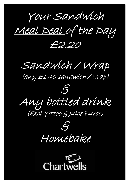Your Sandwich

Meal Deal of the Day

£2.20

Sandwich / Wrap

(any £1.40 sandwich / wrap)

 $\mathcal{E}$ Any bottled drink (Excl Yazoo & Juice Burst)



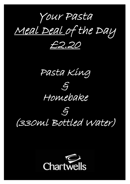Your Pasta

Meal Deal of the Day

£2.20





 $\mathcal{E}_l$ (330ml Bottled Water)

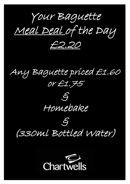Your Baguette Meal Deal of the Day

£2.20

Any Baguette priced £1.60 or £1.75



## $\epsilon$ (330ml Bottled Water)

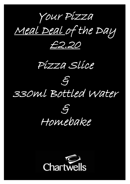Your Pizza

Meal Deal of the Day

£2.20

Pizza Slice



330ml Bottled Water



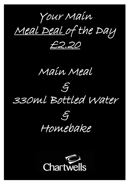Your Main

Meal Deal of the Day

£2.20

Main Meal

## $\mathcal{E}$ 330ml Bottled Water



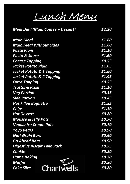Lunch Menu

| <b>Meal Deal (Main Course + Dessert)</b> | £2.20 |
|------------------------------------------|-------|
| <b>Main Meal</b>                         | £1.80 |
| <b>Main Meal Without Sides</b>           | £1.60 |
| <b>Pasta Plain</b>                       | £1.10 |
| <b>Pasta &amp; Sauce</b>                 | £1.60 |
| <b>Cheese Topping</b>                    | £0.55 |
| <u>Jacket Potato Plain</u>               | £1.05 |
| <b>Jacket Potato &amp; 1 Topping</b>     | £1.60 |
| <b>Jacket Potato &amp; 2 Topping</b>     | £1.95 |
| <b>Extra Topping</b>                     | £0.55 |
| Trattoria Pizza                          | £1.10 |
| <b>Veg Portion</b>                       | £0.35 |
| <b>Side Portion</b>                      | £0.45 |
| <b>Hot Filled Baguette</b>               | £1.85 |
| <b>Chips</b>                             | £1.10 |
| <b>Hot Dessert</b>                       | £0.80 |
| <b>Mousse &amp; Jelly Pots</b>           | £0.70 |
| <b>Vanilla Ice Cream Pots</b>            | £0.70 |
| <b>Yoyo Bears</b>                        | £0.90 |
| <b>Nuti-Grain Bars</b>                   | £0.90 |
| <b>Go Ahead Bars</b>                     | £0.90 |
| <b>Digestive Biscuit Twin Pack</b>       | £0.55 |
| <u>Cookie</u>                            | £0.80 |
| <b>Home Baking</b>                       | £0.70 |
| <b>Muffin</b>                            | £0.80 |
| Chartwells<br><b>Cake Slice</b>          | £0.80 |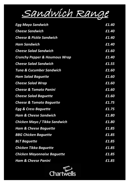

| Egg Mayo Sandwich                        | £1.40 |
|------------------------------------------|-------|
| <b>Cheese Sandwich</b>                   | £1.40 |
| Cheese & Pickle Sandwich                 | £1.40 |
| Ham Sandwich                             | £1.40 |
| <b>Cheese Salad Sandwich</b>             | £1.60 |
| <b>Crunchy Pepper &amp; Houmous Wrap</b> | £1.40 |
| Cheese Salad Sandwich                    | £1.55 |
| <b>Tuna &amp; Cucumber Sandwich</b>      | £1.60 |
| <b>Ham Salad Baguette</b>                | £1.60 |
| <b>Cheese Salad Wrap</b>                 | £1.60 |
| <b>Cheese &amp; Tomato Panini</b>        | £1.60 |
| <b>Cheese Salad Baguette</b>             | £1.60 |
| Cheese & Tomato Baguette                 | £1.75 |
| Egg & Cress Baguette                     | £1.75 |
| Ham & Cheese Sandwich                    | £1.80 |
| Chicken Mayo / Tikka Sandwich            | £1.80 |
| <b>Ham &amp; Cheese Baguette</b>         | £1.85 |
| <b>BBG Chicken Baguette</b>              | £1.85 |
| <b>BLT Baguette</b>                      | £1.85 |
| <b>Chicken Tikka Baguette</b>            | £1.85 |
| <b>Chicken Mayonnaise Baguette</b>       | £1.85 |
| <b>Ham &amp; Cheese Panini</b>           | £1.85 |

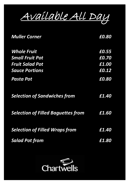

| <b>Muller Corner</b>                      | £0.80 |
|-------------------------------------------|-------|
| <b>Whole Fruit</b>                        | £0.55 |
| <b>Small Fruit Pot</b>                    | £0.70 |
| <b>Fruit Salad Pot</b>                    | £1.00 |
| <b>Sauce Portions</b>                     | £0.12 |
| Pasta Pot                                 | £0.80 |
| <b>Selection of Sandwiches from</b>       | £1.40 |
| <b>Selection of Filled Baguettes from</b> | £1.60 |
| <b>Selection of Filled Wraps from</b>     | £1.40 |
| <b>Salad Pot from</b>                     | £1.80 |